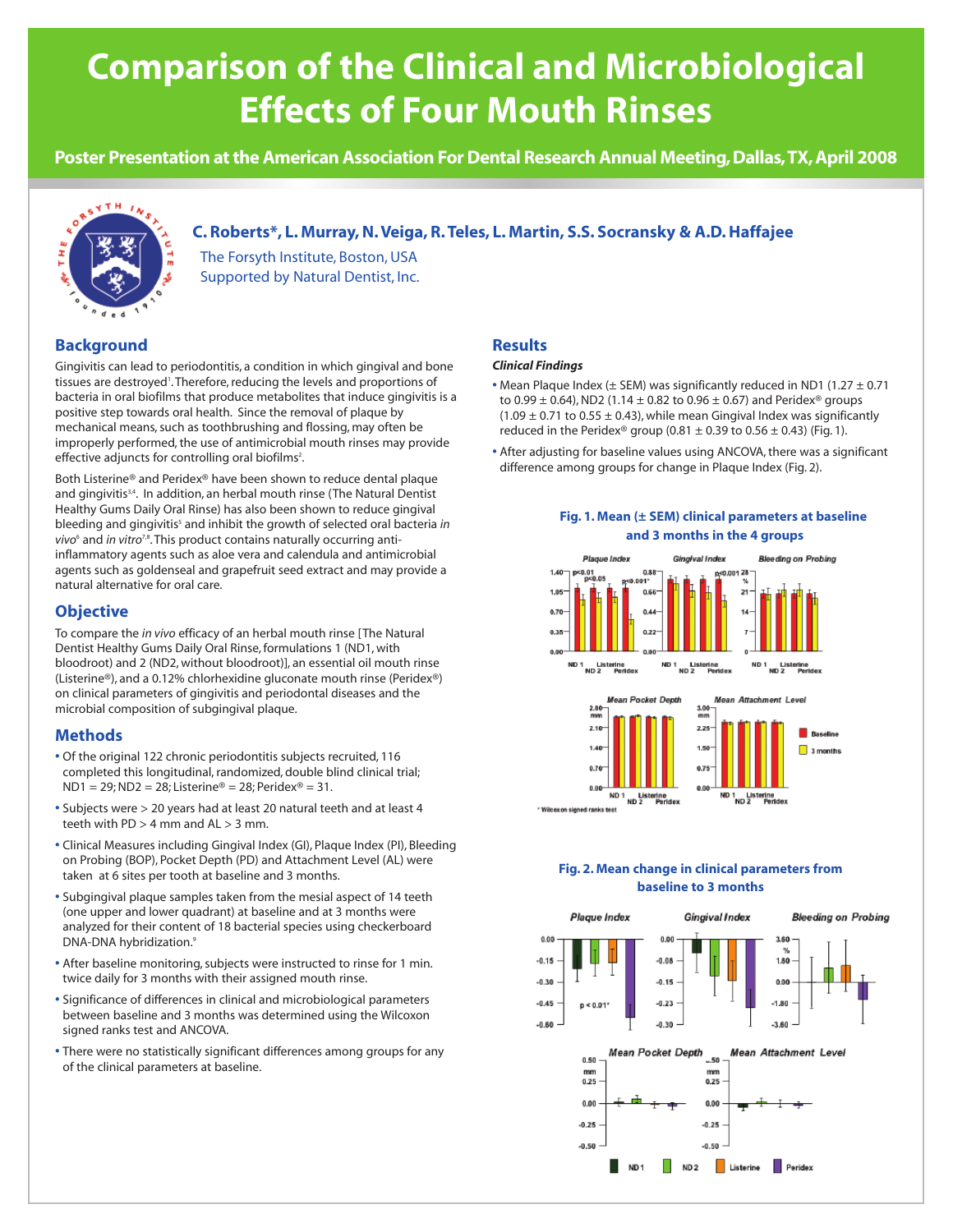# **Comparison of the Clinical and Microbiological Effects of Four Mouth Rinses**

**Poster Presentation at the American Association For Dental Research Annual Meeting, Dallas,TX, April 2008**



# **C. Roberts\*, L. Murray, N. Veiga, R. Teles, L. Martin, S.S. Socransky & A.D. Haffajee**

The Forsyth Institute, Boston, USA Supported by Natural Dentist, Inc.

# **Background**

Gingivitis can lead to periodontitis, a condition in which gingival and bone tissues are destroyed'. Therefore, reducing the levels and proportions of bacteria in oral biofilms that produce metabolites that induce gingivitis is a positive step towards oral health. Since the removal of plaque by mechanical means, such as toothbrushing and flossing, may often be improperly performed, the use of antimicrobial mouth rinses may provide effective adjuncts for controlling oral biofilms<sup>2</sup>.

Both Listerine® and Peridex® have been shown to reduce dental plaque and gingivitis<sup>3,4</sup>. In addition, an herbal mouth rinse (The Natural Dentist Healthy Gums Daily Oral Rinse) has also been shown to reduce gingival bleeding and gingivitis<sup>5</sup> and inhibit the growth of selected oral bacteria *in vivo*<sup>6</sup> and *in vitro*<sup>7,8</sup>. This product contains naturally occurring antiinflammatory agents such as aloe vera and calendula and antimicrobial agents such as goldenseal and grapefruit seed extract and may provide a natural alternative for oral care.

## **Objective**

To compare the *in vivo* efficacy of an herbal mouth rinse [The Natural Dentist Healthy Gums Daily Oral Rinse, formulations 1 (ND1, with bloodroot) and 2 (ND2, without bloodroot)], an essential oil mouth rinse (Listerine®), and a 0.12% chlorhexidine gluconate mouth rinse (Peridex®) on clinical parameters of gingivitis and periodontal diseases and the microbial composition of subgingival plaque.

## **Methods**

- **•** Of the original 122 chronic periodontitis subjects recruited, 116 completed this longitudinal, randomized, double blind clinical trial;  $ND1 = 29; ND2 = 28; Listerine® = 28; Periodex® = 31.$
- **•** Subjects were > 20 years had at least 20 natural teeth and at least 4 teeth with  $PD > 4$  mm and  $AL > 3$  mm.
- **•** Clinical Measures including Gingival Index (GI), Plaque Index (PI), Bleeding on Probing (BOP), Pocket Depth (PD) and Attachment Level (AL) were taken at 6 sites per tooth at baseline and 3 months.
- **•** Subgingival plaque samples taken from the mesial aspect of 14 teeth (one upper and lower quadrant) at baseline and at 3 months were analyzed for their content of 18 bacterial species using checkerboard DNA-DNA hybridization.9
- **•** After baseline monitoring, subjects were instructed to rinse for 1 min. twice daily for 3 months with their assigned mouth rinse.
- **•** Significance of differences in clinical and microbiological parameters between baseline and 3 months was determined using the Wilcoxon signed ranks test and ANCOVA.
- **•** There were no statistically significant differences among groups for any of the clinical parameters at baseline.

## **Results**

#### *Clinical Findings*

- Mean Plaque Index (± SEM) was significantly reduced in ND1 (1.27 ± 0.71 to 0.99  $\pm$  0.64), ND2 (1.14  $\pm$  0.82 to 0.96  $\pm$  0.67) and Peridex<sup>®</sup> groups  $(1.09 \pm 0.71$  to  $0.55 \pm 0.43$ ), while mean Gingival Index was significantly reduced in the Peridex® group (0.81  $\pm$  0.39 to 0.56  $\pm$  0.43) (Fig. 1).
- **•** After adjusting for baseline values using ANCOVA, there was a significant difference among groups for change in Plaque Index (Fig. 2).

#### **Fig. 1. Mean (± SEM) clinical parameters at baseline and 3 months in the 4 groups**



## **Fig. 2. Mean change in clinical parameters from baseline to 3 months**